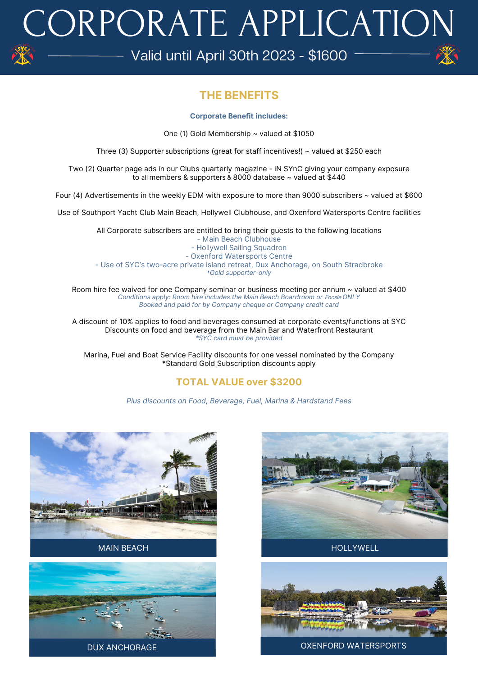# CORPORATE APPLICATION

Valid until April 30th 2023 - \$1600  $-$ 

## **THE BENEFITS**

### **Corporate Benefit includes:**

One (1) Gold Membership ~ valued at \$1050

Three (3) Supporter subscriptions (great for staff incentives!)  $\sim$  valued at \$250 each

Two (2) Quarter page ads in our Clubs quarterly magazine - iN SYnC giving your company exposure to all members & supporters & 8000 database ~ valued at \$440

Four (4) Advertisements in the weekly EDM with exposure to more than 9000 subscribers ~ valued at \$600

Use of Southport Yacht Club Main Beach, Hollywell Clubhouse, and Oxenford Watersports Centre facilities

All Corporate subscribers are entitled to bring their guests to the following locations - Main Beach Clubhouse - Hollywell Sailing Squadron - Oxenford Watersports Centre - Use of SYC's two-acre private island retreat, Dux Anchorage, on South Stradbroke *\*Gold supporter-only*

Room hire fee waived for one Company seminar or business meeting per annum ~ valued at \$400 **Conditions apply: Room hire includes the Main Beach Boardroom or Focsle ONLY** *Booked and paid for by Company cheque or Company credit card*

A discount of 10% applies to food and beverages consumed at corporate events/functions at SYC Discounts on food and beverage from the Main Bar and Waterfront Restaurant *\*SYC card must be provided*

Marina, Fuel and Boat Service Facility discounts for one vessel nominated by the Company \*Standard Gold Subscription discounts apply

## **TOTAL VALUE over \$3200**

*Plus discounts on Food, Beverage, Fuel, Marina & Hardstand Fees*









#### DUX ANCHORAGE **OXENFORD WATERSPORTS**